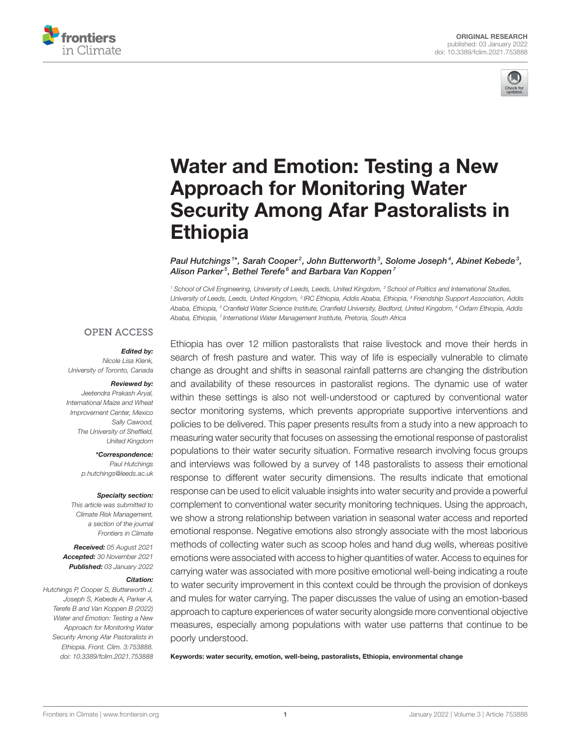



# Water and Emotion: Testing a New Approach for Monitoring Water [Security Among Afar Pastoralists in](https://www.frontiersin.org/articles/10.3389/fclim.2021.753888/full) Ethiopia

Paul Hutchings 1\*, Sarah Cooper $^2$ , John Butterworth $^3$ , Solome Joseph $^4$ , Abinet Kebede $^3$ , Alison Parker $^5$ , Bethel Terefe $^6$  and Barbara Van Koppen $^7$ 

*<sup>1</sup> School of Civil Engineering, University of Leeds, Leeds, United Kingdom, <sup>2</sup> School of Politics and International Studies, University of Leeds, Leeds, United Kingdom, <sup>3</sup> IRC Ethiopia, Addis Ababa, Ethiopia, <sup>4</sup> Friendship Support Association, Addis Ababa, Ethiopia, <sup>5</sup> Cranfield Water Science Institute, Cranfield University, Bedford, United Kingdom, <sup>6</sup> Oxfam Ethiopia, Addis Ababa, Ethiopia, <sup>7</sup> International Water Management Institute, Pretoria, South Africa*

#### **OPEN ACCESS**

#### Edited by:

*Nicole Lisa Klenk, University of Toronto, Canada*

#### Reviewed by:

*Jeetendra Prakash Aryal, International Maize and Wheat Improvement Center, Mexico Sally Cawood, The University of Sheffield, United Kingdom*

> \*Correspondence: *Paul Hutchings [p.hutchings@leeds.ac.uk](mailto:p.hutchings@leeds.ac.uk)*

#### Specialty section:

*This article was submitted to Climate Risk Management, a section of the journal Frontiers in Climate*

Received: *05 August 2021* Accepted: *30 November 2021* Published: *03 January 2022*

#### Citation:

*Hutchings P, Cooper S, Butterworth J, Joseph S, Kebede A, Parker A, Terefe B and Van Koppen B (2022) Water and Emotion: Testing a New Approach for Monitoring Water Security Among Afar Pastoralists in Ethiopia. Front. Clim. 3:753888. doi: [10.3389/fclim.2021.753888](https://doi.org/10.3389/fclim.2021.753888)*

Ethiopia has over 12 million pastoralists that raise livestock and move their herds in search of fresh pasture and water. This way of life is especially vulnerable to climate change as drought and shifts in seasonal rainfall patterns are changing the distribution and availability of these resources in pastoralist regions. The dynamic use of water within these settings is also not well-understood or captured by conventional water sector monitoring systems, which prevents appropriate supportive interventions and policies to be delivered. This paper presents results from a study into a new approach to measuring water security that focuses on assessing the emotional response of pastoralist populations to their water security situation. Formative research involving focus groups and interviews was followed by a survey of 148 pastoralists to assess their emotional response to different water security dimensions. The results indicate that emotional response can be used to elicit valuable insights into water security and provide a powerful complement to conventional water security monitoring techniques. Using the approach, we show a strong relationship between variation in seasonal water access and reported emotional response. Negative emotions also strongly associate with the most laborious methods of collecting water such as scoop holes and hand dug wells, whereas positive emotions were associated with access to higher quantities of water. Access to equines for carrying water was associated with more positive emotional well-being indicating a route to water security improvement in this context could be through the provision of donkeys and mules for water carrying. The paper discusses the value of using an emotion-based approach to capture experiences of water security alongside more conventional objective measures, especially among populations with water use patterns that continue to be poorly understood.

Keywords: water security, emotion, well-being, pastoralists, Ethiopia, environmental change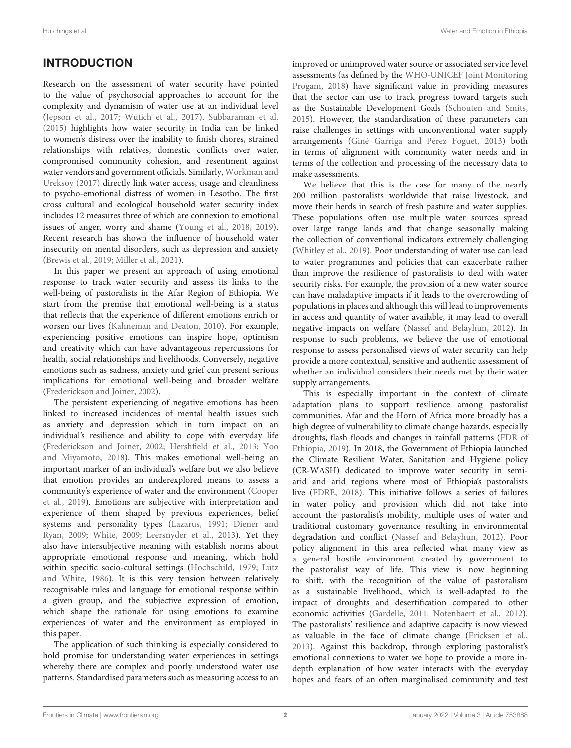# INTRODUCTION

Research on the assessment of water security have pointed to the value of psychosocial approaches to account for the complexity and dynamism of water use at an individual level [\(Jepson et al., 2017;](#page-10-0) [Wutich et al., 2017\)](#page-10-1). [Subbaraman et al.](#page-10-2) [\(2015\)](#page-10-2) highlights how water security in India can be linked to women's distress over the inability to finish chores, strained relationships with relatives, domestic conflicts over water, compromised community cohesion, and resentment against water vendors and government officials. Similarly, Workman and Ureksoy [\(2017\)](#page-10-3) directly link water access, usage and cleanliness to psycho-emotional distress of women in Lesotho. The first cross cultural and ecological household water security index includes 12 measures three of which are connexion to emotional issues of anger, worry and shame [\(Young et al., 2018,](#page-11-0) [2019\)](#page-10-4). Recent research has shown the influence of household water insecurity on mental disorders, such as depression and anxiety [\(Brewis et al., 2019;](#page-9-0) [Miller et al., 2021\)](#page-10-5).

In this paper we present an approach of using emotional response to track water security and assess its links to the well-being of pastoralists in the Afar Region of Ethiopia. We start from the premise that emotional well-being is a status that reflects that the experience of different emotions enrich or worsen our lives [\(Kahneman and Deaton, 2010\)](#page-10-6). For example, experiencing positive emotions can inspire hope, optimism and creativity which can have advantageous repercussions for health, social relationships and livelihoods. Conversely, negative emotions such as sadness, anxiety and grief can present serious implications for emotional well-being and broader welfare [\(Frederickson and Joiner, 2002\)](#page-10-7).

The persistent experiencing of negative emotions has been linked to increased incidences of mental health issues such as anxiety and depression which in turn impact on an individual's resilience and ability to cope with everyday life [\(Frederickson and Joiner, 2002;](#page-10-7) [Hershfield et al., 2013;](#page-10-8) Yoo and Miyamoto, [2018\)](#page-10-9). This makes emotional well-being an important marker of an individual's welfare but we also believe that emotion provides an underexplored means to assess a community's experience of water and the environment (Cooper et al., [2019\)](#page-10-10). Emotions are subjective with interpretation and experience of them shaped by previous experiences, belief systems and personality types [\(Lazarus, 1991;](#page-10-11) Diener and Ryan, [2009;](#page-10-12) [White, 2009;](#page-10-13) [Leersnyder et al., 2013\)](#page-10-14). Yet they also have intersubjective meaning with establish norms about appropriate emotional response and meaning, which hold within specific socio-cultural settings [\(Hochschild, 1979;](#page-10-15) Lutz and White, [1986\)](#page-10-16). It is this very tension between relatively recognisable rules and language for emotional response within a given group, and the subjective expression of emotion, which shape the rationale for using emotions to examine experiences of water and the environment as employed in this paper.

The application of such thinking is especially considered to hold promise for understanding water experiences in settings whereby there are complex and poorly understood water use patterns. Standardised parameters such as measuring access to an improved or unimproved water source or associated service level assessments (as defined by the WHO-UNICEF Joint Monitoring Progam, [2018\)](#page-10-17) have significant value in providing measures that the sector can use to track progress toward targets such as the Sustainable Development Goals [\(Schouten and Smits,](#page-10-18) [2015\)](#page-10-18). However, the standardisation of these parameters can raise challenges in settings with unconventional water supply arrangements [\(Giné Garriga and Pérez Foguet, 2013\)](#page-10-19) both in terms of alignment with community water needs and in terms of the collection and processing of the necessary data to make assessments.

We believe that this is the case for many of the nearly 200 million pastoralists worldwide that raise livestock, and move their herds in search of fresh pasture and water supplies. These populations often use multiple water sources spread over large range lands and that change seasonally making the collection of conventional indicators extremely challenging [\(Whitley et al., 2019\)](#page-10-20). Poor understanding of water use can lead to water programmes and policies that can exacerbate rather than improve the resilience of pastoralists to deal with water security risks. For example, the provision of a new water source can have maladaptive impacts if it leads to the overcrowding of populations in places and although this will lead to improvements in access and quantity of water available, it may lead to overall negative impacts on welfare [\(Nassef and Belayhun, 2012\)](#page-10-21). In response to such problems, we believe the use of emotional response to assess personalised views of water security can help provide a more contextual, sensitive and authentic assessment of whether an individual considers their needs met by their water supply arrangements.

This is especially important in the context of climate adaptation plans to support resilience among pastoralist communities. Afar and the Horn of Africa more broadly has a high degree of vulnerability to climate change hazards, especially droughts, flash floods and changes in rainfall patterns (FDR of Ethiopia, [2019\)](#page-10-22). In 2018, the Government of Ethiopia launched the Climate Resilient Water, Sanitation and Hygiene policy (CR-WASH) dedicated to improve water security in semiarid and arid regions where most of Ethiopia's pastoralists live [\(FDRE, 2018\)](#page-10-23). This initiative follows a series of failures in water policy and provision which did not take into account the pastoralist's mobility, multiple uses of water and traditional customary governance resulting in environmental degradation and conflict [\(Nassef and Belayhun, 2012\)](#page-10-21). Poor policy alignment in this area reflected what many view as a general hostile environment created by government to the pastoralist way of life. This view is now beginning to shift, with the recognition of the value of pastoralism as a sustainable livelihood, which is well-adapted to the impact of droughts and desertification compared to other economic activities [\(Gardelle, 2011;](#page-10-24) [Notenbaert et al., 2012\)](#page-10-25). The pastoralists' resilience and adaptive capacity is now viewed as valuable in the face of climate change [\(Ericksen et al.,](#page-10-26) [2013\)](#page-10-26). Against this backdrop, through exploring pastoralist's emotional connexions to water we hope to provide a more indepth explanation of how water interacts with the everyday hopes and fears of an often marginalised community and test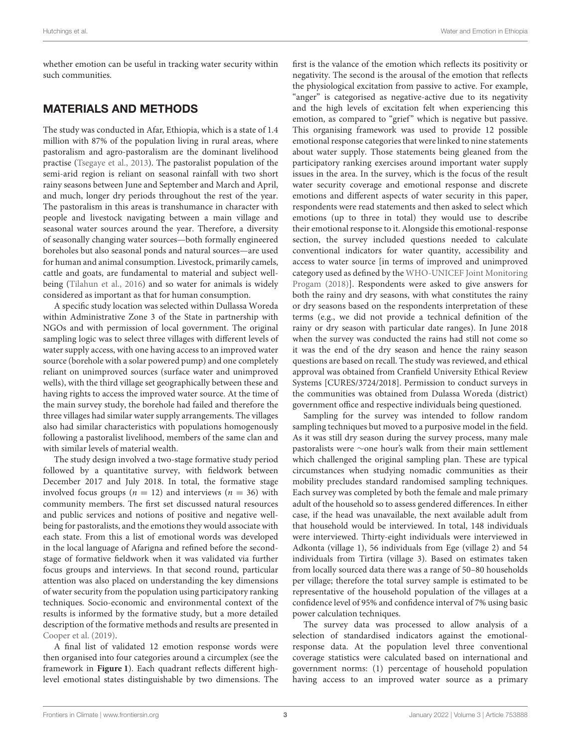whether emotion can be useful in tracking water security within such communities.

### MATERIALS AND METHODS

The study was conducted in Afar, Ethiopia, which is a state of 1.4 million with 87% of the population living in rural areas, where pastoralism and agro-pastoralism are the dominant livelihood practise [\(Tsegaye et al., 2013\)](#page-10-27). The pastoralist population of the semi-arid region is reliant on seasonal rainfall with two short rainy seasons between June and September and March and April, and much, longer dry periods throughout the rest of the year. The pastoralism in this areas is transhumance in character with people and livestock navigating between a main village and seasonal water sources around the year. Therefore, a diversity of seasonally changing water sources—both formally engineered boreholes but also seasonal ponds and natural sources—are used for human and animal consumption. Livestock, primarily camels, cattle and goats, are fundamental to material and subject wellbeing [\(Tilahun et al., 2016\)](#page-10-28) and so water for animals is widely considered as important as that for human consumption.

A specific study location was selected within Dullassa Woreda within Administrative Zone 3 of the State in partnership with NGOs and with permission of local government. The original sampling logic was to select three villages with different levels of water supply access, with one having access to an improved water source (borehole with a solar powered pump) and one completely reliant on unimproved sources (surface water and unimproved wells), with the third village set geographically between these and having rights to access the improved water source. At the time of the main survey study, the borehole had failed and therefore the three villages had similar water supply arrangements. The villages also had similar characteristics with populations homogenously following a pastoralist livelihood, members of the same clan and with similar levels of material wealth.

The study design involved a two-stage formative study period followed by a quantitative survey, with fieldwork between December 2017 and July 2018. In total, the formative stage involved focus groups ( $n = 12$ ) and interviews ( $n = 36$ ) with community members. The first set discussed natural resources and public services and notions of positive and negative wellbeing for pastoralists, and the emotions they would associate with each state. From this a list of emotional words was developed in the local language of Afarigna and refined before the secondstage of formative fieldwork when it was validated via further focus groups and interviews. In that second round, particular attention was also placed on understanding the key dimensions of water security from the population using participatory ranking techniques. Socio-economic and environmental context of the results is informed by the formative study, but a more detailed description of the formative methods and results are presented in [Cooper et al. \(2019\)](#page-10-10).

A final list of validated 12 emotion response words were then organised into four categories around a circumplex (see the framework in **[Figure 1](#page-3-0)**). Each quadrant reflects different highlevel emotional states distinguishable by two dimensions. The first is the valance of the emotion which reflects its positivity or negativity. The second is the arousal of the emotion that reflects the physiological excitation from passive to active. For example, "anger" is categorised as negative-active due to its negativity and the high levels of excitation felt when experiencing this emotion, as compared to "grief" which is negative but passive. This organising framework was used to provide 12 possible emotional response categories that were linked to nine statements about water supply. Those statements being gleaned from the participatory ranking exercises around important water supply issues in the area. In the survey, which is the focus of the result water security coverage and emotional response and discrete emotions and different aspects of water security in this paper, respondents were read statements and then asked to select which emotions (up to three in total) they would use to describe their emotional response to it. Alongside this emotional-response section, the survey included questions needed to calculate conventional indicators for water quantity, accessibility and access to water source [in terms of improved and unimproved category used as defined by the WHO-UNICEF Joint Monitoring Progam [\(2018\)](#page-10-17)]. Respondents were asked to give answers for both the rainy and dry seasons, with what constitutes the rainy or dry seasons based on the respondents interpretation of these terms (e.g., we did not provide a technical definition of the rainy or dry season with particular date ranges). In June 2018 when the survey was conducted the rains had still not come so it was the end of the dry season and hence the rainy season questions are based on recall. The study was reviewed, and ethical approval was obtained from Cranfield University Ethical Review Systems [CURES/3724/2018]. Permission to conduct surveys in the communities was obtained from Dulassa Woreda (district) government office and respective individuals being questioned.

Sampling for the survey was intended to follow random sampling techniques but moved to a purposive model in the field. As it was still dry season during the survey process, many male pastoralists were ∼one hour's walk from their main settlement which challenged the original sampling plan. These are typical circumstances when studying nomadic communities as their mobility precludes standard randomised sampling techniques. Each survey was completed by both the female and male primary adult of the household so to assess gendered differences. In either case, if the head was unavailable, the next available adult from that household would be interviewed. In total, 148 individuals were interviewed. Thirty-eight individuals were interviewed in Adkonta (village 1), 56 individuals from Ege (village 2) and 54 individuals from Tirtira (village 3). Based on estimates taken from locally sourced data there was a range of 50–80 households per village; therefore the total survey sample is estimated to be representative of the household population of the villages at a confidence level of 95% and confidence interval of 7% using basic power calculation techniques.

The survey data was processed to allow analysis of a selection of standardised indicators against the emotionalresponse data. At the population level three conventional coverage statistics were calculated based on international and government norms: (1) percentage of household population having access to an improved water source as a primary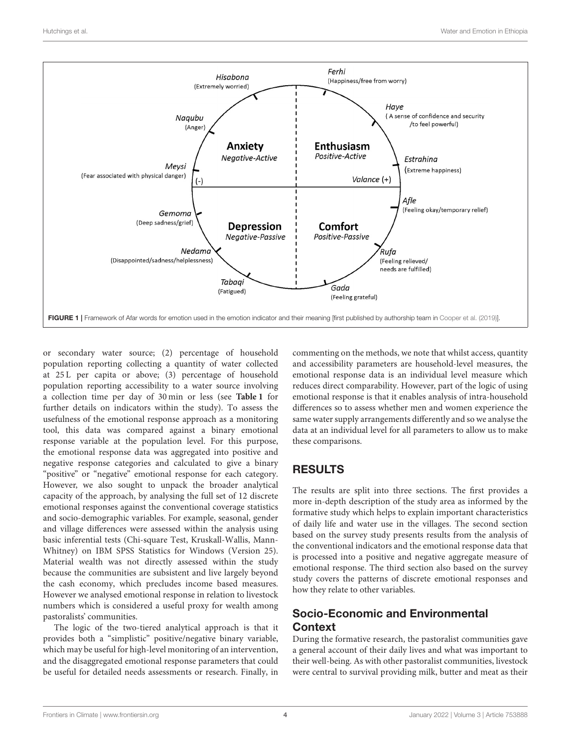

<span id="page-3-0"></span>or secondary water source; (2) percentage of household population reporting collecting a quantity of water collected at 25 L per capita or above; (3) percentage of household population reporting accessibility to a water source involving a collection time per day of 30 min or less (see **[Table 1](#page-4-0)** for further details on indicators within the study). To assess the usefulness of the emotional response approach as a monitoring tool, this data was compared against a binary emotional response variable at the population level. For this purpose, the emotional response data was aggregated into positive and negative response categories and calculated to give a binary "positive" or "negative" emotional response for each category. However, we also sought to unpack the broader analytical capacity of the approach, by analysing the full set of 12 discrete emotional responses against the conventional coverage statistics and socio-demographic variables. For example, seasonal, gender and village differences were assessed within the analysis using basic inferential tests (Chi-square Test, Kruskall-Wallis, Mann-Whitney) on IBM SPSS Statistics for Windows (Version 25). Material wealth was not directly assessed within the study because the communities are subsistent and live largely beyond the cash economy, which precludes income based measures. However we analysed emotional response in relation to livestock numbers which is considered a useful proxy for wealth among pastoralists' communities.

The logic of the two-tiered analytical approach is that it provides both a "simplistic" positive/negative binary variable, which may be useful for high-level monitoring of an intervention, and the disaggregated emotional response parameters that could be useful for detailed needs assessments or research. Finally, in commenting on the methods, we note that whilst access, quantity and accessibility parameters are household-level measures, the emotional response data is an individual level measure which reduces direct comparability. However, part of the logic of using emotional response is that it enables analysis of intra-household differences so to assess whether men and women experience the same water supply arrangements differently and so we analyse the data at an individual level for all parameters to allow us to make these comparisons.

# RESULTS

The results are split into three sections. The first provides a more in-depth description of the study area as informed by the formative study which helps to explain important characteristics of daily life and water use in the villages. The second section based on the survey study presents results from the analysis of the conventional indicators and the emotional response data that is processed into a positive and negative aggregate measure of emotional response. The third section also based on the survey study covers the patterns of discrete emotional responses and how they relate to other variables.

## Socio-Economic and Environmental **Context**

During the formative research, the pastoralist communities gave a general account of their daily lives and what was important to their well-being. As with other pastoralist communities, livestock were central to survival providing milk, butter and meat as their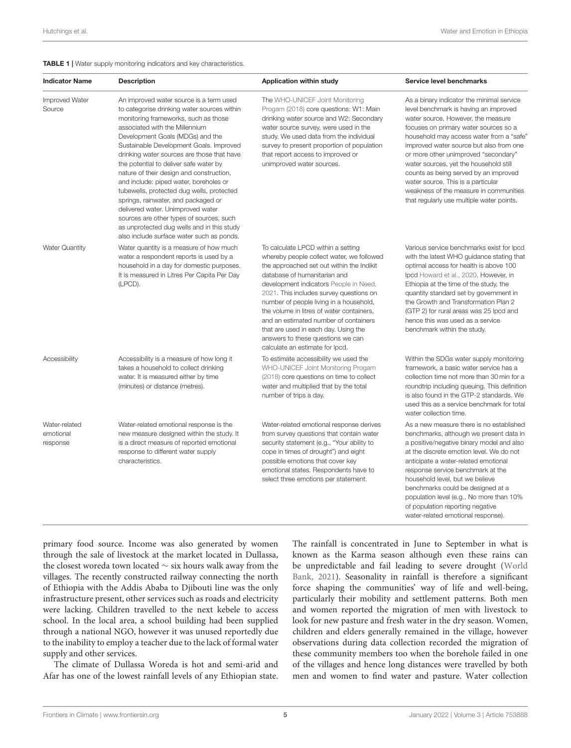<span id="page-4-0"></span>TABLE 1 | Water supply monitoring indicators and key characteristics.

| <b>Indicator Name</b>                  | <b>Description</b>                                                                                                                                                                                                                                                                                                                                                                                                                                                                                                                                                                                                                                                                            | Application within study                                                                                                                                                                                                                                                                                                                                                                                                                                                                           | Service level benchmarks                                                                                                                                                                                                                                                                                                                                                                                                                                                                                         |
|----------------------------------------|-----------------------------------------------------------------------------------------------------------------------------------------------------------------------------------------------------------------------------------------------------------------------------------------------------------------------------------------------------------------------------------------------------------------------------------------------------------------------------------------------------------------------------------------------------------------------------------------------------------------------------------------------------------------------------------------------|----------------------------------------------------------------------------------------------------------------------------------------------------------------------------------------------------------------------------------------------------------------------------------------------------------------------------------------------------------------------------------------------------------------------------------------------------------------------------------------------------|------------------------------------------------------------------------------------------------------------------------------------------------------------------------------------------------------------------------------------------------------------------------------------------------------------------------------------------------------------------------------------------------------------------------------------------------------------------------------------------------------------------|
| Improved Water<br>Source               | An improved water source is a term used<br>to categorise drinking water sources within<br>monitoring frameworks, such as those<br>associated with the Millennium<br>Development Goals (MDGs) and the<br>Sustainable Development Goals. Improved<br>drinking water sources are those that have<br>the potential to deliver safe water by<br>nature of their design and construction,<br>and include: piped water, boreholes or<br>tubewells, protected dug wells, protected<br>springs, rainwater, and packaged or<br>delivered water. Unimproved water<br>sources are other types of sources, such<br>as unprotected dug wells and in this study<br>also include surface water such as ponds. | The WHO-UNICEF Joint Monitoring<br>Progam (2018) core questions: W1: Main<br>drinking water source and W2: Secondary<br>water source survey, were used in the<br>study. We used data from the individual<br>survey to present proportion of population<br>that report access to improved or<br>unimproved water sources.                                                                                                                                                                           | As a binary indicator the minimal service<br>level benchmark is having an improved<br>water source. However, the measure<br>focuses on primary water sources so a<br>household may access water from a "safe"<br>improved water source but also from one<br>or more other unimproved "secondary"<br>water sources, yet the household still<br>counts as being served by an improved<br>water source. This is a particular<br>weakness of the measure in communities<br>that regularly use multiple water points. |
| <b>Water Quantity</b>                  | Water quantity is a measure of how much<br>water a respondent reports is used by a<br>household in a day for domestic purposes.<br>It is measured in Litres Per Capita Per Day<br>(LPCD).                                                                                                                                                                                                                                                                                                                                                                                                                                                                                                     | To calculate LPCD within a setting<br>whereby people collect water, we followed<br>the approached set out within the Indikit<br>database of humanitarian and<br>development indicators People in Need,<br>2021. This includes survey questions on<br>number of people living in a household,<br>the volume in litres of water containers,<br>and an estimated number of containers<br>that are used in each day. Using the<br>answers to these questions we can<br>calculate an estimate for lpcd. | Various service benchmarks exist for lpcd<br>with the latest WHO guidance stating that<br>optimal access for health is above 100<br>Ipcd Howard et al., 2020. However, in<br>Ethiopia at the time of the study, the<br>quantity standard set by government in<br>the Growth and Transformation Plan 2<br>(GTP 2) for rural areas was 25 lpcd and<br>hence this was used as a service<br>benchmark within the study.                                                                                              |
| Accessibility                          | Accessibility is a measure of how long it<br>takes a household to collect drinking<br>water. It is measured either by time<br>(minutes) or distance (metres).                                                                                                                                                                                                                                                                                                                                                                                                                                                                                                                                 | To estimate accessibility we used the<br>WHO-UNICEF Joint Monitoring Progam<br>(2018) core questions on time to collect<br>water and multiplied that by the total<br>number of trips a day.                                                                                                                                                                                                                                                                                                        | Within the SDGs water supply monitoring<br>framework, a basic water service has a<br>collection time not more than 30 min for a<br>roundtrip including queuing. This definition<br>is also found in the GTP-2 standards. We<br>used this as a service benchmark for total<br>water collection time.                                                                                                                                                                                                              |
| Water-related<br>emotional<br>response | Water-related emotional response is the<br>new measure designed within the study. It<br>is a direct measure of reported emotional<br>response to different water supply<br>characteristics.                                                                                                                                                                                                                                                                                                                                                                                                                                                                                                   | Water-related emotional response derives<br>from survey questions that contain water<br>security statement (e.g., "Your ability to<br>cope in times of drought") and eight<br>possible emotions that cover key<br>emotional states. Respondents have to<br>select three emotions per statement.                                                                                                                                                                                                    | As a new measure there is no established<br>benchmarks, although we present data in<br>a positive/negative binary model and also<br>at the discrete emotion level. We do not<br>anticipate a water-related emotional<br>response service benchmark at the<br>household level, but we believe<br>benchmarks could be designed at a<br>population level (e.g., No more than 10%<br>of population reporting negative<br>water-related emotional response).                                                          |

primary food source. Income was also generated by women through the sale of livestock at the market located in Dullassa, the closest woreda town located ∼ six hours walk away from the villages. The recently constructed railway connecting the north of Ethiopia with the Addis Ababa to Djibouti line was the only infrastructure present, other services such as roads and electricity were lacking. Children travelled to the next kebele to access school. In the local area, a school building had been supplied through a national NGO, however it was unused reportedly due to the inability to employ a teacher due to the lack of formal water supply and other services.

The climate of Dullassa Woreda is hot and semi-arid and Afar has one of the lowest rainfall levels of any Ethiopian state.

The rainfall is concentrated in June to September in what is known as the Karma season although even these rains can be unpredictable and fail leading to severe drought (World Bank, [2021\)](#page-10-31). Seasonality in rainfall is therefore a significant force shaping the communities' way of life and well-being, particularly their mobility and settlement patterns. Both men and women reported the migration of men with livestock to look for new pasture and fresh water in the dry season. Women, children and elders generally remained in the village, however observations during data collection recorded the migration of these community members too when the borehole failed in one of the villages and hence long distances were travelled by both men and women to find water and pasture. Water collection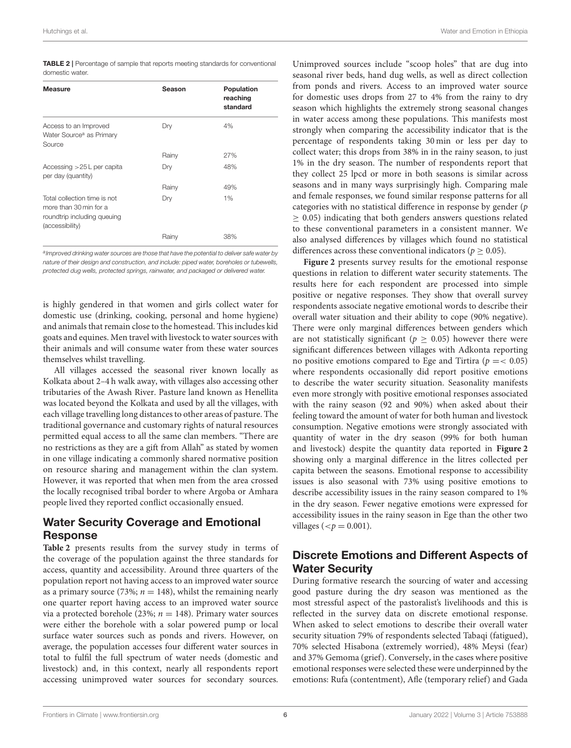<span id="page-5-0"></span>

| <b>TABLE 2</b>   Percentage of sample that reports meeting standards for conventional |  |
|---------------------------------------------------------------------------------------|--|
| domestic water.                                                                       |  |

| <b>Measure</b>                                                                                           | Season | Population<br>reaching<br>standard |
|----------------------------------------------------------------------------------------------------------|--------|------------------------------------|
| Access to an Improved<br>Water Source <sup>a</sup> as Primary<br>Source                                  | Dry    | 4%                                 |
|                                                                                                          | Rainy  | 27%                                |
| Accessing $>25$ L per capita<br>per day (quantity)                                                       | Dry    | 48%                                |
|                                                                                                          | Rainy  | 49%                                |
| Total collection time is not<br>more than 30 min for a<br>roundtrip including queuing<br>(accessibility) | Dry    | 1%                                 |
|                                                                                                          | Rainy  | 38%                                |

*a Improved drinking water sources are those that have the potential to deliver safe water by nature of their design and construction, and include: piped water, boreholes or tubewells, protected dug wells, protected springs, rainwater, and packaged or delivered water.*

is highly gendered in that women and girls collect water for domestic use (drinking, cooking, personal and home hygiene) and animals that remain close to the homestead. This includes kid goats and equines. Men travel with livestock to water sources with their animals and will consume water from these water sources themselves whilst travelling.

All villages accessed the seasonal river known locally as Kolkata about 2–4 h walk away, with villages also accessing other tributaries of the Awash River. Pasture land known as Henellita was located beyond the Kolkata and used by all the villages, with each village travelling long distances to other areas of pasture. The traditional governance and customary rights of natural resources permitted equal access to all the same clan members. "There are no restrictions as they are a gift from Allah" as stated by women in one village indicating a commonly shared normative position on resource sharing and management within the clan system. However, it was reported that when men from the area crossed the locally recognised tribal border to where Argoba or Amhara people lived they reported conflict occasionally ensued.

### Water Security Coverage and Emotional Response

**[Table 2](#page-5-0)** presents results from the survey study in terms of the coverage of the population against the three standards for access, quantity and accessibility. Around three quarters of the population report not having access to an improved water source as a primary source (73%;  $n = 148$ ), whilst the remaining nearly one quarter report having access to an improved water source via a protected borehole (23%;  $n = 148$ ). Primary water sources were either the borehole with a solar powered pump or local surface water sources such as ponds and rivers. However, on average, the population accesses four different water sources in total to fulfil the full spectrum of water needs (domestic and livestock) and, in this context, nearly all respondents report accessing unimproved water sources for secondary sources. Unimproved sources include "scoop holes" that are dug into seasonal river beds, hand dug wells, as well as direct collection from ponds and rivers. Access to an improved water source for domestic uses drops from 27 to 4% from the rainy to dry season which highlights the extremely strong seasonal changes in water access among these populations. This manifests most strongly when comparing the accessibility indicator that is the percentage of respondents taking 30 min or less per day to collect water; this drops from 38% in in the rainy season, to just 1% in the dry season. The number of respondents report that they collect 25 lpcd or more in both seasons is similar across seasons and in many ways surprisingly high. Comparing male and female responses, we found similar response patterns for all categories with no statistical difference in response by gender (p  $\geq$  0.05) indicating that both genders answers questions related to these conventional parameters in a consistent manner. We also analysed differences by villages which found no statistical differences across these conventional indicators ( $p \geq 0.05$ ).

**[Figure 2](#page-6-0)** presents survey results for the emotional response questions in relation to different water security statements. The results here for each respondent are processed into simple positive or negative responses. They show that overall survey respondents associate negative emotional words to describe their overall water situation and their ability to cope (90% negative). There were only marginal differences between genders which are not statistically significant ( $p \geq 0.05$ ) however there were significant differences between villages with Adkonta reporting no positive emotions compared to Ege and Tirtira ( $p = < 0.05$ ) where respondents occasionally did report positive emotions to describe the water security situation. Seasonality manifests even more strongly with positive emotional responses associated with the rainy season (92 and 90%) when asked about their feeling toward the amount of water for both human and livestock consumption. Negative emotions were strongly associated with quantity of water in the dry season (99% for both human and livestock) despite the quantity data reported in **[Figure 2](#page-6-0)** showing only a marginal difference in the litres collected per capita between the seasons. Emotional response to accessibility issues is also seasonal with 73% using positive emotions to describe accessibility issues in the rainy season compared to 1% in the dry season. Fewer negative emotions were expressed for accessibility issues in the rainy season in Ege than the other two villages ( $\lt p = 0.001$ ).

### Discrete Emotions and Different Aspects of Water Security

During formative research the sourcing of water and accessing good pasture during the dry season was mentioned as the most stressful aspect of the pastoralist's livelihoods and this is reflected in the survey data on discrete emotional response. When asked to select emotions to describe their overall water security situation 79% of respondents selected Tabaqi (fatigued), 70% selected Hisabona (extremely worried), 48% Meysi (fear) and 37% Gemoma (grief). Conversely, in the cases where positive emotional responses were selected these were underpinned by the emotions: Rufa (contentment), Afle (temporary relief) and Gada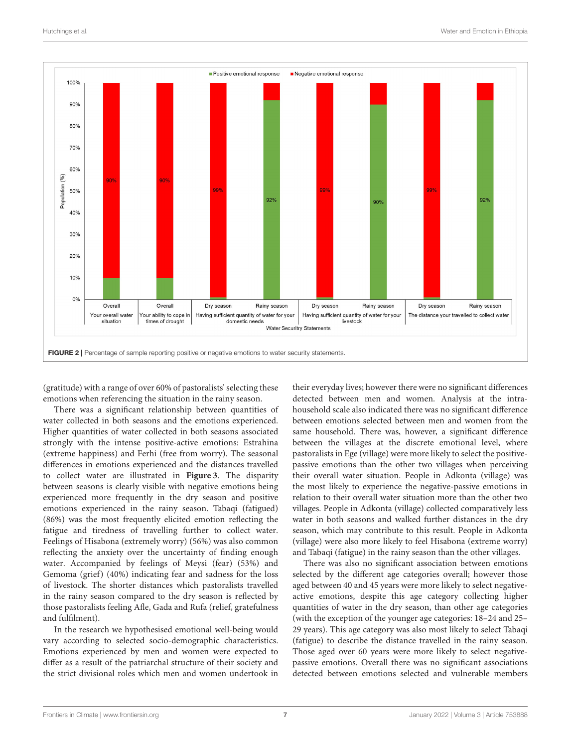

<span id="page-6-0"></span>(gratitude) with a range of over 60% of pastoralists' selecting these emotions when referencing the situation in the rainy season.

There was a significant relationship between quantities of water collected in both seasons and the emotions experienced. Higher quantities of water collected in both seasons associated strongly with the intense positive-active emotions: Estrahina (extreme happiness) and Ferhi (free from worry). The seasonal differences in emotions experienced and the distances travelled to collect water are illustrated in **[Figure 3](#page-7-0)**. The disparity between seasons is clearly visible with negative emotions being experienced more frequently in the dry season and positive emotions experienced in the rainy season. Tabaqi (fatigued) (86%) was the most frequently elicited emotion reflecting the fatigue and tiredness of travelling further to collect water. Feelings of Hisabona (extremely worry) (56%) was also common reflecting the anxiety over the uncertainty of finding enough water. Accompanied by feelings of Meysi (fear) (53%) and Gemoma (grief) (40%) indicating fear and sadness for the loss of livestock. The shorter distances which pastoralists travelled in the rainy season compared to the dry season is reflected by those pastoralists feeling Afle, Gada and Rufa (relief, gratefulness and fulfilment).

In the research we hypothesised emotional well-being would vary according to selected socio-demographic characteristics. Emotions experienced by men and women were expected to differ as a result of the patriarchal structure of their society and the strict divisional roles which men and women undertook in their everyday lives; however there were no significant differences detected between men and women. Analysis at the intrahousehold scale also indicated there was no significant difference between emotions selected between men and women from the same household. There was, however, a significant difference between the villages at the discrete emotional level, where pastoralists in Ege (village) were more likely to select the positivepassive emotions than the other two villages when perceiving their overall water situation. People in Adkonta (village) was the most likely to experience the negative-passive emotions in relation to their overall water situation more than the other two villages. People in Adkonta (village) collected comparatively less water in both seasons and walked further distances in the dry season, which may contribute to this result. People in Adkonta (village) were also more likely to feel Hisabona (extreme worry) and Tabaqi (fatigue) in the rainy season than the other villages.

There was also no significant association between emotions selected by the different age categories overall; however those aged between 40 and 45 years were more likely to select negativeactive emotions, despite this age category collecting higher quantities of water in the dry season, than other age categories (with the exception of the younger age categories: 18–24 and 25– 29 years). This age category was also most likely to select Tabaqi (fatigue) to describe the distance travelled in the rainy season. Those aged over 60 years were more likely to select negativepassive emotions. Overall there was no significant associations detected between emotions selected and vulnerable members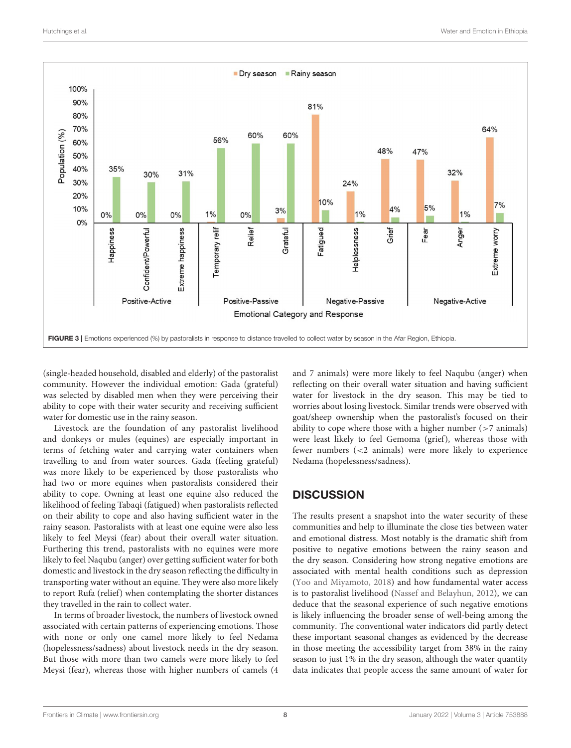

<span id="page-7-0"></span>(single-headed household, disabled and elderly) of the pastoralist community. However the individual emotion: Gada (grateful) was selected by disabled men when they were perceiving their ability to cope with their water security and receiving sufficient water for domestic use in the rainy season.

Livestock are the foundation of any pastoralist livelihood and donkeys or mules (equines) are especially important in terms of fetching water and carrying water containers when travelling to and from water sources. Gada (feeling grateful) was more likely to be experienced by those pastoralists who had two or more equines when pastoralists considered their ability to cope. Owning at least one equine also reduced the likelihood of feeling Tabaqi (fatigued) when pastoralists reflected on their ability to cope and also having sufficient water in the rainy season. Pastoralists with at least one equine were also less likely to feel Meysi (fear) about their overall water situation. Furthering this trend, pastoralists with no equines were more likely to feel Naqubu (anger) over getting sufficient water for both domestic and livestock in the dry season reflecting the difficulty in transporting water without an equine. They were also more likely to report Rufa (relief) when contemplating the shorter distances they travelled in the rain to collect water.

In terms of broader livestock, the numbers of livestock owned associated with certain patterns of experiencing emotions. Those with none or only one camel more likely to feel Nedama (hopelessness/sadness) about livestock needs in the dry season. But those with more than two camels were more likely to feel Meysi (fear), whereas those with higher numbers of camels (4 and 7 animals) were more likely to feel Naqubu (anger) when reflecting on their overall water situation and having sufficient water for livestock in the dry season. This may be tied to worries about losing livestock. Similar trends were observed with goat/sheep ownership when the pastoralist's focused on their ability to cope where those with a higher number  $(>7$  animals) were least likely to feel Gemoma (grief), whereas those with fewer numbers (<2 animals) were more likely to experience Nedama (hopelessness/sadness).

#### **DISCUSSION**

The results present a snapshot into the water security of these communities and help to illuminate the close ties between water and emotional distress. Most notably is the dramatic shift from positive to negative emotions between the rainy season and the dry season. Considering how strong negative emotions are associated with mental health conditions such as depression [\(Yoo and Miyamoto, 2018\)](#page-10-9) and how fundamental water access is to pastoralist livelihood [\(Nassef and Belayhun, 2012\)](#page-10-21), we can deduce that the seasonal experience of such negative emotions is likely influencing the broader sense of well-being among the community. The conventional water indicators did partly detect these important seasonal changes as evidenced by the decrease in those meeting the accessibility target from 38% in the rainy season to just 1% in the dry season, although the water quantity data indicates that people access the same amount of water for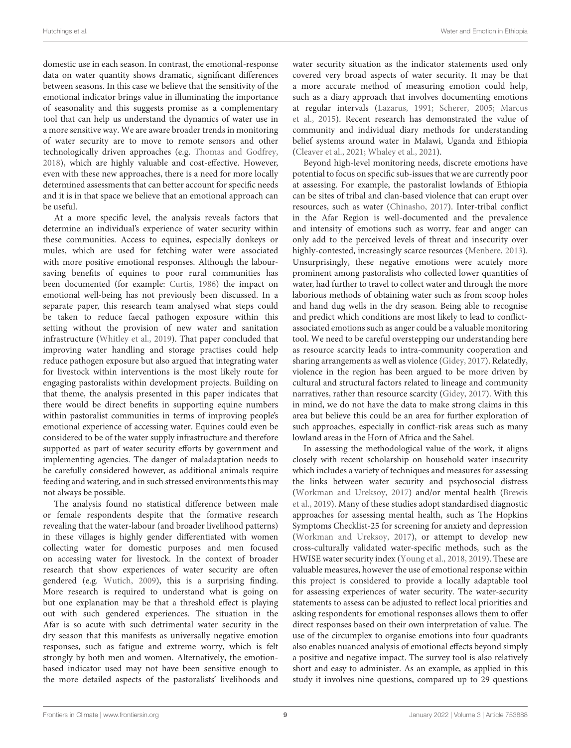domestic use in each season. In contrast, the emotional-response data on water quantity shows dramatic, significant differences between seasons. In this case we believe that the sensitivity of the emotional indicator brings value in illuminating the importance of seasonality and this suggests promise as a complementary tool that can help us understand the dynamics of water use in a more sensitive way. We are aware broader trends in monitoring of water security are to move to remote sensors and other technologically driven approaches (e.g. [Thomas and Godfrey,](#page-10-32) [2018\)](#page-10-32), which are highly valuable and cost-effective. However, even with these new approaches, there is a need for more locally determined assessments that can better account for specific needs and it is in that space we believe that an emotional approach can be useful.

At a more specific level, the analysis reveals factors that determine an individual's experience of water security within these communities. Access to equines, especially donkeys or mules, which are used for fetching water were associated with more positive emotional responses. Although the laboursaving benefits of equines to poor rural communities has been documented (for example: [Curtis, 1986\)](#page-10-33) the impact on emotional well-being has not previously been discussed. In a separate paper, this research team analysed what steps could be taken to reduce faecal pathogen exposure within this setting without the provision of new water and sanitation infrastructure [\(Whitley et al., 2019\)](#page-10-20). That paper concluded that improving water handling and storage practises could help reduce pathogen exposure but also argued that integrating water for livestock within interventions is the most likely route for engaging pastoralists within development projects. Building on that theme, the analysis presented in this paper indicates that there would be direct benefits in supporting equine numbers within pastoralist communities in terms of improving people's emotional experience of accessing water. Equines could even be considered to be of the water supply infrastructure and therefore supported as part of water security efforts by government and implementing agencies. The danger of maladaptation needs to be carefully considered however, as additional animals require feeding and watering, and in such stressed environments this may not always be possible.

The analysis found no statistical difference between male or female respondents despite that the formative research revealing that the water-labour (and broader livelihood patterns) in these villages is highly gender differentiated with women collecting water for domestic purposes and men focused on accessing water for livestock. In the context of broader research that show experiences of water security are often gendered (e.g. [Wutich, 2009\)](#page-10-34), this is a surprising finding. More research is required to understand what is going on but one explanation may be that a threshold effect is playing out with such gendered experiences. The situation in the Afar is so acute with such detrimental water security in the dry season that this manifests as universally negative emotion responses, such as fatigue and extreme worry, which is felt strongly by both men and women. Alternatively, the emotionbased indicator used may not have been sensitive enough to the more detailed aspects of the pastoralists' livelihoods and water security situation as the indicator statements used only covered very broad aspects of water security. It may be that a more accurate method of measuring emotion could help, such as a diary approach that involves documenting emotions at regular intervals [\(Lazarus, 1991;](#page-10-11) [Scherer, 2005;](#page-10-35) Marcus et al., [2015\)](#page-10-36). Recent research has demonstrated the value of community and individual diary methods for understanding belief systems around water in Malawi, Uganda and Ethiopia [\(Cleaver et al., 2021;](#page-9-1) [Whaley et al., 2021\)](#page-10-37).

Beyond high-level monitoring needs, discrete emotions have potential to focus on specific sub-issues that we are currently poor at assessing. For example, the pastoralist lowlands of Ethiopia can be sites of tribal and clan-based violence that can erupt over resources, such as water [\(Chinasho, 2017\)](#page-9-2). Inter-tribal conflict in the Afar Region is well-documented and the prevalence and intensity of emotions such as worry, fear and anger can only add to the perceived levels of threat and insecurity over highly-contested, increasingly scarce resources [\(Menbere, 2013\)](#page-10-38). Unsurprisingly, these negative emotions were acutely more prominent among pastoralists who collected lower quantities of water, had further to travel to collect water and through the more laborious methods of obtaining water such as from scoop holes and hand dug wells in the dry season. Being able to recognise and predict which conditions are most likely to lead to conflictassociated emotions such as anger could be a valuable monitoring tool. We need to be careful overstepping our understanding here as resource scarcity leads to intra-community cooperation and sharing arrangements as well as violence [\(Gidey, 2017\)](#page-10-39). Relatedly, violence in the region has been argued to be more driven by cultural and structural factors related to lineage and community narratives, rather than resource scarcity [\(Gidey, 2017\)](#page-10-39). With this in mind, we do not have the data to make strong claims in this area but believe this could be an area for further exploration of such approaches, especially in conflict-risk areas such as many lowland areas in the Horn of Africa and the Sahel.

In assessing the methodological value of the work, it aligns closely with recent scholarship on household water insecurity which includes a variety of techniques and measures for assessing the links between water security and psychosocial distress [\(Workman and Ureksoy, 2017\)](#page-10-3) and/or mental health (Brewis et al., [2019\)](#page-9-0). Many of these studies adopt standardised diagnostic approaches for assessing mental health, such as The Hopkins Symptoms Checklist-25 for screening for anxiety and depression [\(Workman and Ureksoy, 2017\)](#page-10-3), or attempt to develop new cross-culturally validated water-specific methods, such as the HWISE water security index [\(Young et al., 2018,](#page-11-0) [2019\)](#page-10-4). These are valuable measures, however the use of emotional response within this project is considered to provide a locally adaptable tool for assessing experiences of water security. The water-security statements to assess can be adjusted to reflect local priorities and asking respondents for emotional responses allows them to offer direct responses based on their own interpretation of value. The use of the circumplex to organise emotions into four quadrants also enables nuanced analysis of emotional effects beyond simply a positive and negative impact. The survey tool is also relatively short and easy to administer. As an example, as applied in this study it involves nine questions, compared up to 29 questions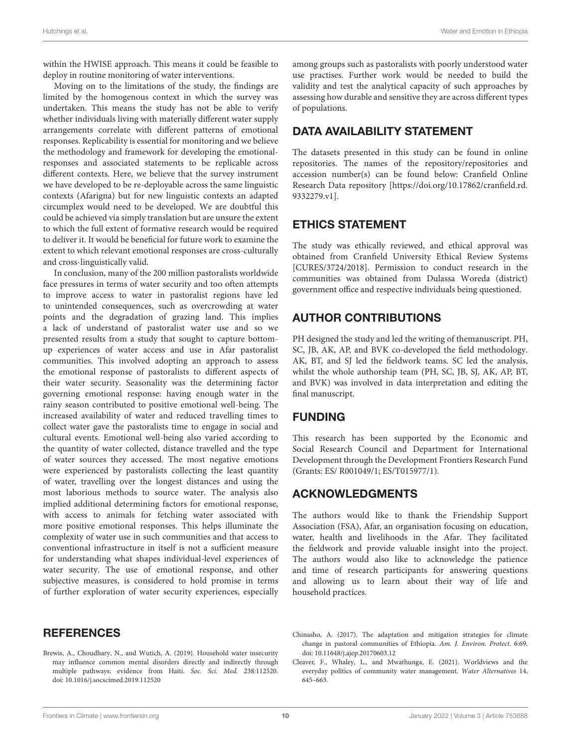within the HWISE approach. This means it could be feasible to deploy in routine monitoring of water interventions.

Moving on to the limitations of the study, the findings are limited by the homogenous context in which the survey was undertaken. This means the study has not be able to verify whether individuals living with materially different water supply arrangements correlate with different patterns of emotional responses. Replicability is essential for monitoring and we believe the methodology and framework for developing the emotionalresponses and associated statements to be replicable across different contexts. Here, we believe that the survey instrument we have developed to be re-deployable across the same linguistic contexts (Afarigna) but for new linguistic contexts an adapted circumplex would need to be developed. We are doubtful this could be achieved via simply translation but are unsure the extent to which the full extent of formative research would be required to deliver it. It would be beneficial for future work to examine the extent to which relevant emotional responses are cross-culturally and cross-linguistically valid.

In conclusion, many of the 200 million pastoralists worldwide face pressures in terms of water security and too often attempts to improve access to water in pastoralist regions have led to unintended consequences, such as overcrowding at water points and the degradation of grazing land. This implies a lack of understand of pastoralist water use and so we presented results from a study that sought to capture bottomup experiences of water access and use in Afar pastoralist communities. This involved adopting an approach to assess the emotional response of pastoralists to different aspects of their water security. Seasonality was the determining factor governing emotional response: having enough water in the rainy season contributed to positive emotional well-being. The increased availability of water and reduced travelling times to collect water gave the pastoralists time to engage in social and cultural events. Emotional well-being also varied according to the quantity of water collected, distance travelled and the type of water sources they accessed. The most negative emotions were experienced by pastoralists collecting the least quantity of water, travelling over the longest distances and using the most laborious methods to source water. The analysis also implied additional determining factors for emotional response, with access to animals for fetching water associated with more positive emotional responses. This helps illuminate the complexity of water use in such communities and that access to conventional infrastructure in itself is not a sufficient measure for understanding what shapes individual-level experiences of water security. The use of emotional response, and other subjective measures, is considered to hold promise in terms of further exploration of water security experiences, especially

**REFERENCES** 

<span id="page-9-0"></span>Brewis, A., Choudhary, N., and Wutich, A. (2019). Household water insecurity may influence common mental disorders directly and indirectly through multiple pathways: evidence from Haiti. Soc. Sci. Med. 238:112520. doi: [10.1016/j.socscimed.2019.112520](https://doi.org/10.1016/j.socscimed.2019.112520)

among groups such as pastoralists with poorly understood water use practises. Further work would be needed to build the validity and test the analytical capacity of such approaches by assessing how durable and sensitive they are across different types of populations.

### DATA AVAILABILITY STATEMENT

The datasets presented in this study can be found in online repositories. The names of the repository/repositories and accession number(s) can be found below: Cranfield Online Research Data repository [\[https://doi.org/10.17862/cranfield.rd.](https://doi.org/10.17862/cranfield.rd.9332279.v1) [9332279.v1\]](https://doi.org/10.17862/cranfield.rd.9332279.v1).

### ETHICS STATEMENT

The study was ethically reviewed, and ethical approval was obtained from Cranfield University Ethical Review Systems [CURES/3724/2018]. Permission to conduct research in the communities was obtained from Dulassa Woreda (district) government office and respective individuals being questioned.

# AUTHOR CONTRIBUTIONS

PH designed the study and led the writing of themanuscript. PH, SC, JB, AK, AP, and BVK co-developed the field methodology. AK, BT, and SJ led the fieldwork teams. SC led the analysis, whilst the whole authorship team (PH, SC, JB, SJ, AK, AP, BT, and BVK) was involved in data interpretation and editing the final manuscript.

#### FUNDING

This research has been supported by the Economic and Social Research Council and Department for International Development through the Development Frontiers Research Fund (Grants: ES/ R001049/1; ES/T015977/1).

#### ACKNOWLEDGMENTS

The authors would like to thank the Friendship Support Association (FSA), Afar, an organisation focusing on education, water, health and livelihoods in the Afar. They facilitated the fieldwork and provide valuable insight into the project. The authors would also like to acknowledge the patience and time of research participants for answering questions and allowing us to learn about their way of life and household practices.

- <span id="page-9-2"></span>Chinasho, A. (2017). The adaptation and mitigation strategies for climate change in pastoral communities of Ethiopia. Am. J. Environ. Protect. 6:69. doi: [10.11648/j.ajep.20170603.12](https://doi.org/10.11648/j.ajep.20170603.12)
- <span id="page-9-1"></span>Cleaver, F., Whaley, L., and Mwathunga, E. (2021). Worldviews and the everyday politics of community water management. Water Alternatives 14, 645–663.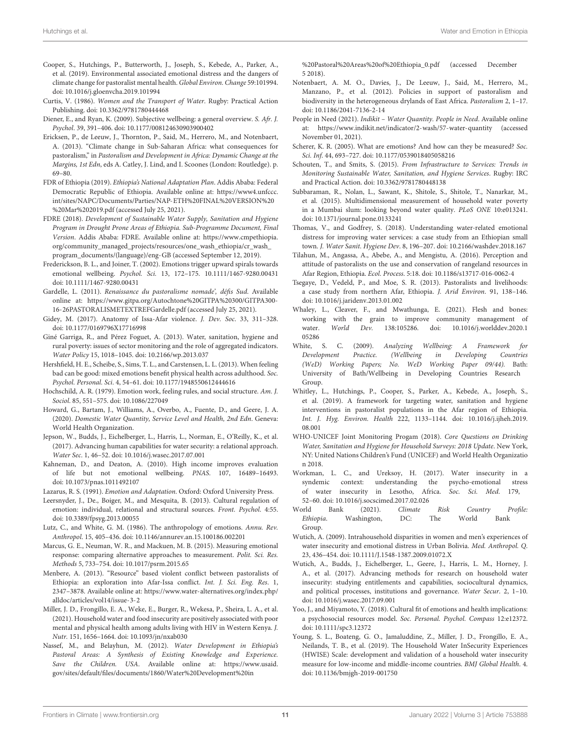- <span id="page-10-10"></span>Cooper, S., Hutchings, P., Butterworth, J., Joseph, S., Kebede, A., Parker, A., et al. (2019). Environmental associated emotional distress and the dangers of climate change for pastoralist mental health. Global Environ. Change 59:101994. doi: [10.1016/j.gloenvcha.2019.101994](https://doi.org/10.1016/j.gloenvcha.2019.101994)
- <span id="page-10-33"></span>Curtis, V. (1986). Women and the Transport of Water. Rugby: Practical Action Publishing. doi: [10.3362/9781780444468](https://doi.org/10.3362/9781780444468)
- <span id="page-10-12"></span>Diener, E., and Ryan, K. (2009). Subjective wellbeing: a general overview. S. Afr. J. Psychol. 39, 391–406. doi: [10.1177/008124630903900402](https://doi.org/10.1177/008124630903900402)
- <span id="page-10-26"></span>Ericksen, P., de Leeuw, J., Thornton, P., Said, M., Herrero, M., and Notenbaert, A. (2013). "Climate change in Sub-Saharan Africa: what consequences for pastoralism," in Pastoralism and Development in Africa: Dynamic Change at the Margins, 1st Edn, eds A. Catley, J. Lind, and I. Scoones (London: Routledge). p. 69–80.
- <span id="page-10-22"></span>FDR of Ethiopia (2019). Ethiopia's National Adaptation Plan. Addis Ababa: Federal Democratic Republic of Ethiopia. Available online at: [https://www4.unfccc.](https://www4.unfccc.int/sites/NAPC/Documents/Parties/NAP-ETH%20FINAL%20VERSION%20%20Mar%202019.pdf) [int/sites/NAPC/Documents/Parties/NAP-ETH%20FINAL%20VERSION%20](https://www4.unfccc.int/sites/NAPC/Documents/Parties/NAP-ETH%20FINAL%20VERSION%20%20Mar%202019.pdf) [%20Mar%202019.pdf](https://www4.unfccc.int/sites/NAPC/Documents/Parties/NAP-ETH%20FINAL%20VERSION%20%20Mar%202019.pdf) (accessed July 25, 2021).
- <span id="page-10-23"></span>FDRE (2018). Development of Sustainable Water Supply, Sanitation and Hygiene Program in Drought Prone Areas of Ethiopia. Sub-Programme Document, Final Version. Addis Ababa: FDRE. Available online at: [https://www.cmpethiopia.](https://www.cmpethiopia.org/community_managed_projects/resources/one_wash_ethiopia/cr_wash_program_documents/(language)/eng-GB) [org/community\\_managed\\_projects/resources/one\\_wash\\_ethiopia/cr\\_wash\\_](https://www.cmpethiopia.org/community_managed_projects/resources/one_wash_ethiopia/cr_wash_program_documents/(language)/eng-GB) [program\\_documents/\(language\)/eng-GB](https://www.cmpethiopia.org/community_managed_projects/resources/one_wash_ethiopia/cr_wash_program_documents/(language)/eng-GB) (accessed September 12, 2019).
- <span id="page-10-7"></span>Frederickson, B. L., and Joiner, T. (2002). Emotions trigger upward spirals towards emotional wellbeing. Psychol. Sci. 13, 172–175. 10.1111/1467-9280.00431 doi: [10.1111/1467-9280.00431](https://doi.org/10.1111/1467-9280.00431)
- <span id="page-10-24"></span>Gardelle, L. (2011). Renaissance du pastoralisme nomade', défis Sud. Available online at: [https://www.gitpa.org/Autochtone%20GITPA%20300/GITPA300-](https://www.gitpa.org/Autochtone%20GITPA%20300/GITPA300-16-26PASTORALISMETEXTREFGardelle.pdf) [16-26PASTORALISMETEXTREFGardelle.pdf](https://www.gitpa.org/Autochtone%20GITPA%20300/GITPA300-16-26PASTORALISMETEXTREFGardelle.pdf) (accessed July 25, 2021).
- <span id="page-10-39"></span>Gidey, M. (2017). Anatomy of Issa-Afar violence. J. Dev. Soc. 33, 311–328. doi: [10.1177/0169796X17716998](https://doi.org/10.1177/0169796X17716998)
- <span id="page-10-19"></span>Giné Garriga, R., and Pérez Foguet, A. (2013). Water, sanitation, hygiene and rural poverty: issues of sector monitoring and the role of aggregated indicators. Water Policy 15, 1018–1045. doi: [10.2166/wp.2013.037](https://doi.org/10.2166/wp.2013.037)
- <span id="page-10-8"></span>Hershfield, H. E., Scheibe, S., Sims, T. L., and Carstensen, L. L. (2013). When feeling bad can be good: mixed emotions benefit physical health across adulthood. Soc. Psychol. Personal. Sci. 4, 54–61. doi: [10.1177/1948550612444616](https://doi.org/10.1177/1948550612444616)
- <span id="page-10-15"></span>Hochschild, A. R. (1979). Emotion work, feeling rules, and social structure. Am. J. Sociol. 85, 551–575. doi: [10.1086/227049](https://doi.org/10.1086/227049)
- <span id="page-10-30"></span>Howard, G., Bartam, J., Williams, A., Overbo, A., Fuente, D., and Geere, J. A. (2020). Domestic Water Quantity, Service Level and Health, 2nd Edn. Geneva: World Health Organization.
- <span id="page-10-0"></span>Jepson, W., Budds, J., Eichelberger, L., Harris, L., Norman, E., O'Reilly, K., et al. (2017). Advancing human capabilities for water security: a relational approach. Water Sec. 1, 46–52. doi: [10.1016/j.wasec.2017.07.001](https://doi.org/10.1016/j.wasec.2017.07.001)
- <span id="page-10-6"></span>Kahneman, D., and Deaton, A. (2010). High income improves evaluation of life but not emotional wellbeing. PNAS. 107, 16489–16493. doi: [10.1073/pnas.1011492107](https://doi.org/10.1073/pnas.1011492107)
- <span id="page-10-11"></span>Lazarus, R. S. (1991). Emotion and Adaptation. Oxford: Oxford University Press.
- <span id="page-10-14"></span>Leersnyder, J., De., Boiger, M., and Mesquita, B. (2013). Cultural regulation of emotion: individual, relational and structural sources. Front. Psychol. 4:55. doi: [10.3389/fpsyg.2013.00055](https://doi.org/10.3389/fpsyg.2013.00055)
- <span id="page-10-16"></span>Lutz, C., and White, G. M. (1986). The anthropology of emotions. Annu. Rev. Anthropol. 15, 405–436. doi: [10.1146/annurev.an.15.100186.002201](https://doi.org/10.1146/annurev.an.15.100186.002201)
- <span id="page-10-36"></span>Marcus, G. E., Neuman, W. R., and Mackuen, M. B. (2015). Measuring emotional response: comparing alternative approaches to measurement. Polit. Sci. Res. Methods 5, 733–754. doi: [10.1017/psrm.2015.65](https://doi.org/10.1017/psrm.2015.65)
- <span id="page-10-38"></span>Menbere, A. (2013). "Resource" based violent conflict between pastoralists of Ethiopia: an exploration into Afar-Issa conflict. Int. J. Sci. Eng. Res. 1, 2347–3878. Available online at: [https://www.water-alternatives.org/index.php/](https://www.water-alternatives.org/index.php/alldoc/articles/vol14/issue-3-2) [alldoc/articles/vol14/issue-3-2](https://www.water-alternatives.org/index.php/alldoc/articles/vol14/issue-3-2)
- <span id="page-10-5"></span>Miller, J. D., Frongillo, E. A., Weke, E., Burger, R., Wekesa, P., Sheira, L. A., et al. (2021). Household water and food insecurity are positively associated with poor mental and physical health among adults living with HIV in Western Kenya. J. Nutr. 151, 1656–1664. doi: [10.1093/jn/nxab030](https://doi.org/10.1093/jn/nxab030)
- <span id="page-10-21"></span>Nassef, M., and Belayhun, M. (2012). Water Development in Ethiopia's Pastoral Areas: A Synthesis of Existing Knowledge and Experience. Save the Children. USA. Available online at: [https://www.usaid.](https://www.usaid.gov/sites/default/files/documents/1860/Water%20Development%20in%20Pastoral%20Areas%20of%20Ethiopia_0.pdf) [gov/sites/default/files/documents/1860/Water%20Development%20in](https://www.usaid.gov/sites/default/files/documents/1860/Water%20Development%20in%20Pastoral%20Areas%20of%20Ethiopia_0.pdf)

[%20Pastoral%20Areas%20of%20Ethiopia\\_0.pdf](https://www.usaid.gov/sites/default/files/documents/1860/Water%20Development%20in%20Pastoral%20Areas%20of%20Ethiopia_0.pdf) (accessed December 5 2018).

- <span id="page-10-25"></span>Notenbaert, A. M. O., Davies, J., De Leeuw, J., Said, M., Herrero, M., Manzano, P., et al. (2012). Policies in support of pastoralism and biodiversity in the heterogeneous drylands of East Africa. Pastoralism 2, 1–17. doi: [10.1186/2041-7136-2-14](https://doi.org/10.1186/2041-7136-2-14)
- <span id="page-10-29"></span>People in Need (2021). Indikit - Water Quantity. People in Need. Available online at:<https://www.indikit.net/indicator/2-wash/57-water-quantity> (accessed November 01, 2021).
- <span id="page-10-35"></span>Scherer, K. R. (2005). What are emotions? And how can they be measured? Soc. Sci. Inf. 44, 693–727. doi: [10.1177/0539018405058216](https://doi.org/10.1177/0539018405058216)
- <span id="page-10-18"></span>Schouten, T., and Smits, S. (2015). From Infrastructure to Services: Trends in Monitoring Sustainable Water, Sanitation, and Hygiene Services. Rugby: IRC and Practical Action. doi: [10.3362/9781780448138](https://doi.org/10.3362/9781780448138)
- <span id="page-10-2"></span>Subbaraman, R., Nolan, L., Sawant, K., Shitole, S., Shitole, T., Nanarkar, M., et al. (2015). Multidimensional measurement of household water poverty in a Mumbai slum: looking beyond water quality. PLoS ONE 10:e013241. doi: [10.1371/journal.pone.0133241](https://doi.org/10.1371/journal.pone.0133241)
- <span id="page-10-32"></span>Thomas, V., and Godfrey, S. (2018). Understanding water-related emotional distress for improving water services: a case study from an Ethiopian small town. J. Water Sanit. Hygiene Dev. 8, 196–207. doi: [10.2166/washdev.2018.167](https://doi.org/10.2166/washdev.2018.167)
- <span id="page-10-28"></span>Tilahun, M., Angassa, A., Abebe, A., and Mengistu, A. (2016). Perception and attitude of pastoralists on the use and conservation of rangeland resources in Afar Region, Ethiopia. Ecol. Process. 5:18. doi: [10.1186/s13717-016-0062-4](https://doi.org/10.1186/s13717-016-0062-4)
- <span id="page-10-27"></span>Tsegaye, D., Vedeld, P., and Moe, S. R. (2013). Pastoralists and livelihoods: a case study from northern Afar, Ethiopia. J. Arid Environ. 91, 138–146. doi: [10.1016/j.jaridenv.2013.01.002](https://doi.org/10.1016/j.jaridenv.2013.01.002)
- <span id="page-10-37"></span>Whaley, L., Cleaver, F., and Mwathunga, E. (2021). Flesh and bones: working with the grain to improve community management of water. World Dev. 138:[105286. doi: 10.1016/j.worlddev.2020.1](https://doi.org/10.1016/j.worlddev.2020.105286) 05286
- <span id="page-10-13"></span>White, S. C. (2009). Analyzing Wellbeing: A Framework for Development Practice. (Wellbeing in Developing Countries (WeD) Working Papers; No. WeD Working Paper 09/44). Bath: University of Bath/Wellbeing in Developing Countries Research Group.
- <span id="page-10-20"></span>Whitley, L., Hutchings, P., Cooper, S., Parker, A., Kebede, A., Joseph, S., et al. (2019). A framework for targeting water, sanitation and hygiene interventions in pastoralist populations in the Afar region of Ethiopia. Int. J. Hyg. Environ. Health [222, 1133–1144. doi: 10.1016/j.ijheh.2019.](https://doi.org/10.1016/j.ijheh.2019.08.001) 08.001
- <span id="page-10-17"></span>WHO-UNICEF Joint Monitoring Progam (2018). Core Questions on Drinking Water, Sanitation and Hygiene for Household Surveys: 2018 Update. New York, NY: United Nations Children's Fund (UNICEF) and World Health Organizatio n 2018.
- <span id="page-10-3"></span>Workman, L. C., and Ureksoy, H. (2017). Water insecurity in a syndemic context: understanding the psycho-emotional stress of water insecurity in Lesotho, Africa. Soc. Sci. Med. 179, 52–60. doi: [10.1016/j.socscimed.2017.02.026](https://doi.org/10.1016/j.socscimed.2017.02.026)
- <span id="page-10-31"></span>World Bank (2021). Climate Risk Country Profile: Ethiopia. Washington, DC: The World Bank Group.
- <span id="page-10-34"></span>Wutich, A. (2009). Intrahousehold disparities in women and men's experiences of water insecurity and emotional distress in Urban Bolivia. Med. Anthropol. Q. 23, 436–454. doi: [10.1111/J.1548-1387.2009.01072.X](https://doi.org/10.1111/J.1548-1387.2009.01072.X)
- <span id="page-10-1"></span>Wutich, A., Budds, J., Eichelberger, L., Geere, J., Harris, L. M., Horney, J. A., et al. (2017). Advancing methods for research on household water insecurity: studying entitlements and capabilities, sociocultural dynamics, and political processes, institutions and governance. Water Secur. 2, 1–10. doi: [10.1016/j.wasec.2017.09.001](https://doi.org/10.1016/j.wasec.2017.09.001)
- <span id="page-10-9"></span>Yoo, J., and Miyamoto, Y. (2018). Cultural fit of emotions and health implications: a psychosocial resources model. Soc. Personal. Psychol. Compass 12:e12372. doi: [10.1111/spc3.12372](https://doi.org/10.1111/spc3.12372)
- <span id="page-10-4"></span>Young, S. L., Boateng, G. O., Jamaluddine, Z., Miller, J. D., Frongillo, E. A., Neilands, T. B., et al. (2019). The Household Water InSecurity Experiences (HWISE) Scale: development and validation of a household water insecurity measure for low-income and middle-income countries. BMJ Global Health. 4. doi: [10.1136/bmjgh-2019-001750](https://doi.org/10.1136/bmjgh-2019-001750)